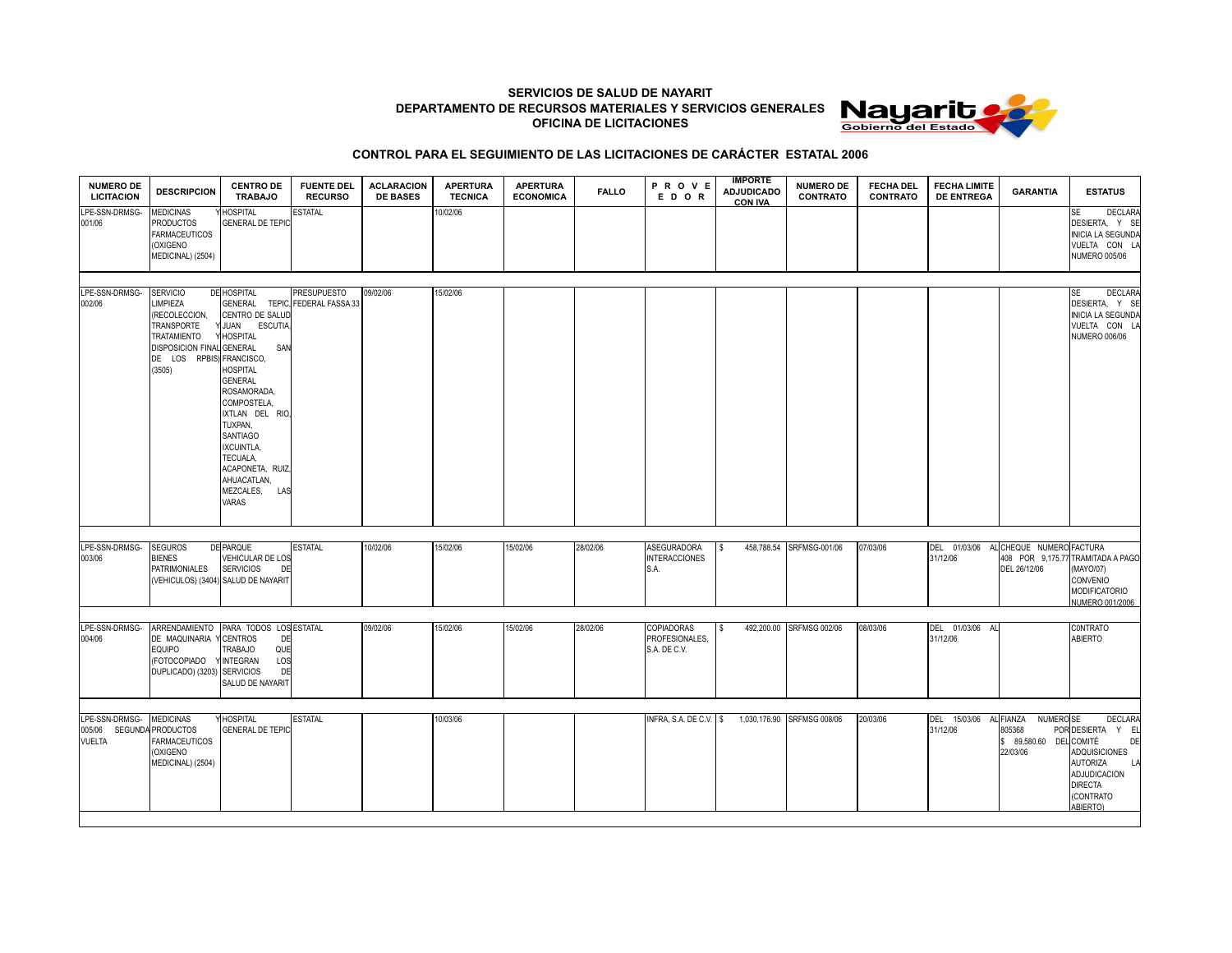**SERVICIOS DE SALUD DE NAYARIT DEPARTAMENTO DE RECURSOS MATERIALES Y SERVICIOS GENERALES OFICINA DE LICITACIONES**



## **CONTROL PARA EL SEGUIMIENTO DE LAS LICITACIONES DE CARÁCTER ESTATAL 2006**

| <b>NUMERO DE</b><br><b>LICITACION</b>     | <b>DESCRIPCION</b>                                                                                                                                 | <b>CENTRO DE</b><br><b>TRABAJO</b>                                                                                                                                                                                                                                                               | <b>FUENTE DEL</b><br><b>RECURSO</b>                   | <b>ACLARACION</b><br><b>DE BASES</b> | <b>APERTURA</b><br><b>TECNICA</b> | <b>APERTURA</b><br><b>ECONOMICA</b> | <b>FALLO</b> | PROVE<br>EDOR                                       | <b>IMPORTE</b><br><b>ADJUDICADO</b><br><b>CON IVA</b> | <b>NUMERO DE</b><br><b>CONTRATO</b> | <b>FECHA DEL</b><br><b>CONTRATO</b> | <b>FECHA LIMITE</b><br><b>DE ENTREGA</b> | <b>GARANTIA</b>                                                                    | <b>ESTATUS</b>                                                                                                                          |
|-------------------------------------------|----------------------------------------------------------------------------------------------------------------------------------------------------|--------------------------------------------------------------------------------------------------------------------------------------------------------------------------------------------------------------------------------------------------------------------------------------------------|-------------------------------------------------------|--------------------------------------|-----------------------------------|-------------------------------------|--------------|-----------------------------------------------------|-------------------------------------------------------|-------------------------------------|-------------------------------------|------------------------------------------|------------------------------------------------------------------------------------|-----------------------------------------------------------------------------------------------------------------------------------------|
| LPE-SSN-DRMSG-<br>001/06                  | <b>MEDICINAS</b><br><b>PRODUCTOS</b><br><b>FARMACEUTICOS</b><br>(OXIGENO<br>MEDICINAL) (2504)                                                      | <b>HOSPITAL</b><br><b>GENERAL DE TEPIC</b>                                                                                                                                                                                                                                                       | <b>ESTATAL</b>                                        |                                      | 10/02/06                          |                                     |              |                                                     |                                                       |                                     |                                     |                                          |                                                                                    | DECLARA<br>SE<br>DESIERTA, Y SE<br><b>INICIA LA SEGUNDA</b><br>VUELTA CON L/<br><b>NUMERO 005/06</b>                                    |
| LPE-SSN-DRMSG-<br>002/06                  | <b>SERVICIO</b><br>LIMPIEZA<br>(RECOLECCION,<br><b>TRANSPORTE</b><br>TRATAMIENTO<br><b>DISPOSICION FINAL</b><br>DE LOS RPBIS) FRANCISCO,<br>(3505) | <b>DE HOSPITAL</b><br>CENTRO DE SALUD<br>JUAN ESCUTIA<br><b>HOSPITAL</b><br><b>GENERAL</b><br>SAN<br>HOSPITAL<br><b>GENERAL</b><br>ROSAMORADA,<br>COMPOSTELA,<br>IXTLAN DEL RIO<br>TUXPAN,<br>SANTIAGO<br>IXCUINTLA,<br>TECUALA,<br>ACAPONETA, RUIZ,<br>AHUACATLAN,<br>MEZCALES,<br>LAS<br>VARAS | <b>PRESUPUESTO</b><br>GENERAL TEPIC, FEDERAL FASSA 33 | 09/02/06                             | 15/02/06                          |                                     |              |                                                     |                                                       |                                     |                                     |                                          |                                                                                    | DECLARA<br>SE<br>DESIERTA, Y SE<br><b>INICIA LA SEGUNDA</b><br>VUELTA CON LA<br><b>NUMERO 006/06</b>                                    |
| LPE-SSN-DRMSG-<br>003/06                  | <b>SEGUROS</b><br><b>BIENES</b><br>PATRIMONIALES                                                                                                   | DE PARQUE<br>VEHICULAR DE LOS<br><b>SERVICIOS</b><br>DE<br>(VEHICULOS) (3404) SALUD DE NAYARIT                                                                                                                                                                                                   | <b>ESTATAL</b>                                        | 10/02/06                             | 15/02/06                          | 15/02/06                            | 28/02/06     | <b>ASEGURADORA</b><br><b>INTERACCIONES</b><br>S.A.  | -S                                                    | 458,788.54 SRFMSG-001/06            | 07/03/06                            | DEL 01/03/06<br>31/12/06                 | CHEQUE NUMERO FACTURA<br>408 POR 9,175.77<br>DEL 26/12/06                          | TRAMITADA A PAGO<br>(MAYO/07)<br>CONVENIO<br><b>MODIFICATORIO</b><br>NUMERO 001/2006                                                    |
| LPE-SSN-DRMSG-<br>004/06                  | ARRENDAMIENTO<br>DE MAQUINARIA Y<br><b>EQUIPO</b><br>(FOTOCOPIADO<br>DUPLICADO) (3203) SERVICIOS                                                   | PARA TODOS LOS ESTATAL<br><b>CENTROS</b><br>DE<br>TRABAJO<br>QUE<br><b>INTEGRAN</b><br>LOS<br>DE<br>SALUD DE NAYARIT                                                                                                                                                                             |                                                       | 09/02/06                             | 15/02/06                          | 15/02/06                            | 28/02/06     | <b>COPIADORAS</b><br>PROFESIONALES,<br>S.A. DE C.V. | l \$                                                  | 492,200.00 SRFMSG 002/06            | 08/03/06                            | DEL 01/03/06<br>Al.<br>31/12/06          |                                                                                    | CONTRATO<br>ABIERTO                                                                                                                     |
| LPE-SSN-DRMSG-<br>005/06<br><b>VUELTA</b> | <b>MEDICINAS</b><br>SEGUNDA PRODUCTOS<br><b>FARMACEUTICOS</b><br>(OXIGENO<br>MEDICINAL) (2504)                                                     | <b>HOSPITAL</b><br><b>GENERAL DE TEPIC</b>                                                                                                                                                                                                                                                       | <b>ESTATAL</b>                                        |                                      | 10/03/06                          |                                     |              | INFRA, S.A. DE C.V. \$                              |                                                       | 1,030,176.90 SRFMSG 008/06          | 20/03/06                            | DEL 15/03/06<br>31/12/06                 | AL FIANZA<br>NUMERO <sub>SE</sub><br>805368<br>\$ 89,580.60 DEL COMITÉ<br>22/03/06 | DECLARA<br>POR DESIERTA Y EL<br>DE<br>ADQUISICIONES<br><b>AUTORIZA</b><br>LA<br>ADJUDICACION<br><b>DIRECTA</b><br>(CONTRATO<br>ABIERTO) |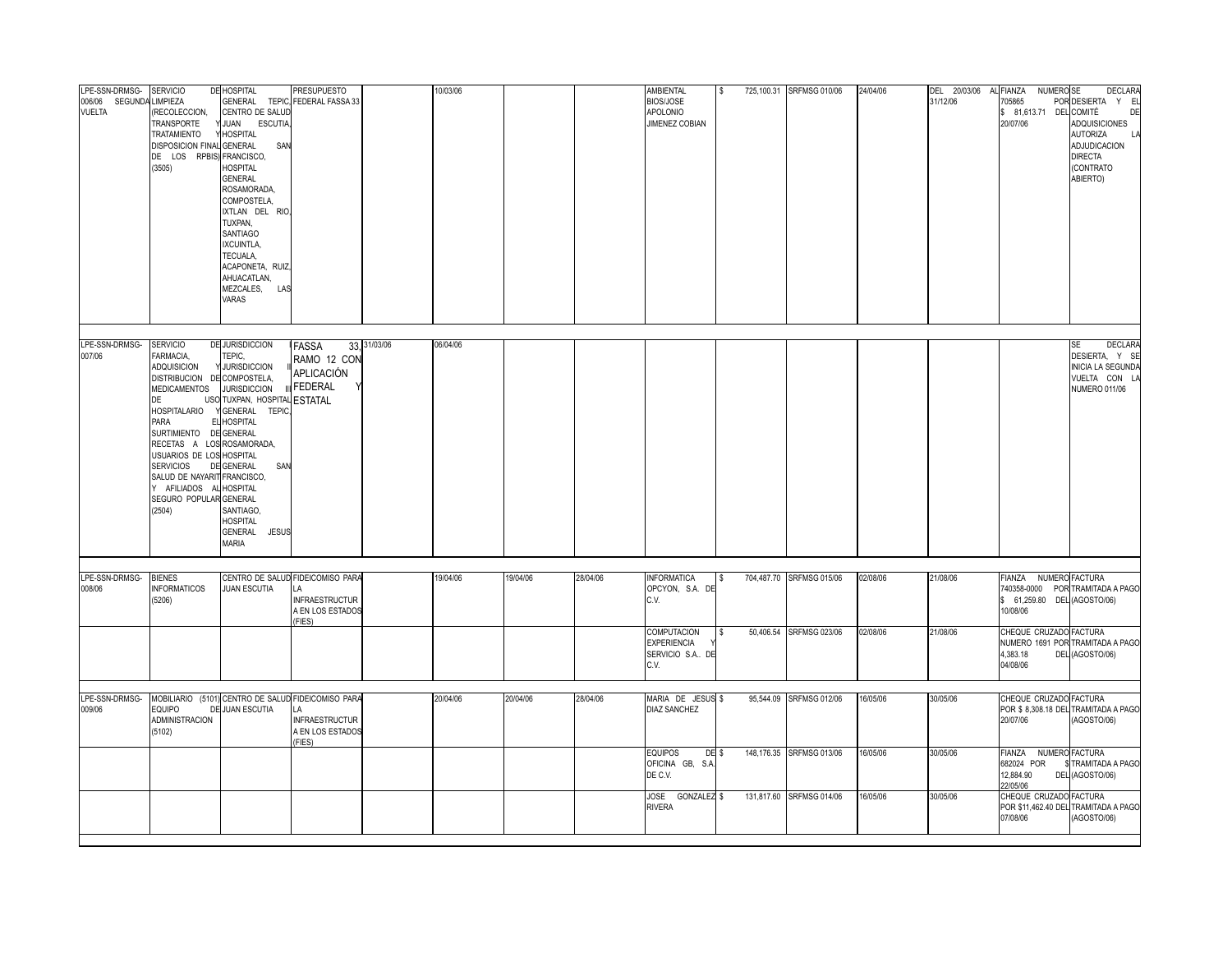| LPE-SSN-DRMSG-<br>006/06 SEGUNDA<br><b>VUELTA</b> | <b>SERVICIO</b><br>LIMPIEZA<br>RECOLECCION,<br>TRANSPORTE<br>TRATAMIENTO<br>DISPOSICION FINAL GENERAL<br>DE LOS RPBIS) FRANCISCO,<br>(3505)                                                                                                                                                                                   | DE HOSPITAL<br>CENTRO DE SALUD<br>JUAN ESCUTIA<br><b>HOSPITAL</b><br>SAN<br><b>HOSPITAL</b><br><b>GENERAL</b><br>ROSAMORADA,<br>COMPOSTELA,<br>IXTLAN DEL RIO<br>TUXPAN,<br>SANTIAGO<br>IXCUINTLA,<br>TECUALA,<br>ACAPONETA, RUIZ,<br>AHUACATLAN,<br>MEZCALES, LAS<br>VARAS | <b>PRESUPUESTO</b><br>GENERAL TEPIC, FEDERAL FASSA 33                                         |              | 10/03/06 |          |          | <b>AMBIENTAL</b><br><b>BIOS/JOSE</b><br>APOLONIO<br>JIMENEZ COBIAN                        |                  | 725,100.31 SRFMSG 010/06                             | 24/04/06             | DEL 20/03/06<br>31/12/06 | AL FIANZA<br>NUMERO <sub>SE</sub><br>705865<br>\$ 81,613.71 DEL COMITÉ<br>20/07/06                     | DECLARA<br>POR DESIERTA Y E<br>DE<br>ADQUISICIONES<br><b>AUTORIZA</b><br>LA<br>ADJUDICACION<br><b>DIRECTA</b><br>(CONTRATO<br>ABIERTO) |
|---------------------------------------------------|-------------------------------------------------------------------------------------------------------------------------------------------------------------------------------------------------------------------------------------------------------------------------------------------------------------------------------|-----------------------------------------------------------------------------------------------------------------------------------------------------------------------------------------------------------------------------------------------------------------------------|-----------------------------------------------------------------------------------------------|--------------|----------|----------|----------|-------------------------------------------------------------------------------------------|------------------|------------------------------------------------------|----------------------|--------------------------|--------------------------------------------------------------------------------------------------------|----------------------------------------------------------------------------------------------------------------------------------------|
| LPE-SSN-DRMSG-<br>007/06                          | <b>SERVICIO</b><br>FARMACIA,<br>ADQUISICION<br>DISTRIBUCION DE COMPOSTELA,<br>MEDICAMENTOS<br>DE<br>HOSPITALARIO<br>PARA<br>SURTIMIENTO DE GENERAL<br>RECETAS A LOS ROSAMORADA,<br>USUARIOS DE LOS HOSPITAL<br><b>SERVICIOS</b><br>SALUD DE NAYARIT FRANCISCO,<br>Y AFILIADOS AL HOSPITAL<br>SEGURO POPULAR GENERAL<br>(2504) | <b>DE JURISDICCION</b><br>TEPIC.<br>Y JURISDICCION<br><b>JURISDICCION</b><br>USO TUXPAN, HOSPITAL ESTATAL<br>GENERAL TEPIC,<br>EL HOSPITAL<br>DE GENERAL<br>SAN<br>SANTIAGO,<br><b>HOSPITAL</b><br>GENERAL JESUS<br><b>MARIA</b>                                            | <b>IFASSA</b><br>RAMO 12 CON<br>APLICACIÓN<br>III FEDERAL                                     | 33, 31/03/06 | 06/04/06 |          |          |                                                                                           |                  |                                                      |                      |                          |                                                                                                        | <b>DECLARA</b><br><b>SE</b><br>DESIERTA, Y SI<br>INICIA LA SEGUNDA<br>VUELTA CON L.<br><b>NUMERO 011/06</b>                            |
| LPE-SSN-DRMSG-<br>008/06                          | <b>BIENES</b><br><b>NFORMATICOS</b><br>(5206)                                                                                                                                                                                                                                                                                 | <b>JUAN ESCUTIA</b>                                                                                                                                                                                                                                                         | CENTRO DE SALUD FIDEICOMISO PARA<br>LA<br><b>INFRAESTRUCTUR</b><br>A EN LOS ESTADOS<br>(FIES) |              | 19/04/06 | 19/04/06 | 28/04/06 | <b>INFORMATICA</b><br>OPCYON, S.A. DE<br>C.V.<br><b>COMPUTACION</b><br><b>EXPERIENCIA</b> | \$               | 704,487.70 SRFMSG 015/06<br>50,406.54 SRFMSG 023/06  | 02/08/06<br>02/08/06 | 21/08/06<br>21/08/06     | FIANZA NUMERO FACTURA<br>\$ 61,259.80 DEL (AGOSTO/06)<br>10/08/06<br>CHEQUE CRUZADO FACTURA            | 740358-0000 POR TRAMITADA A PAGO<br>NUMERO 1691 POR TRAMITADA A PAGO                                                                   |
| LPE-SSN-DRMSG-<br>009/06                          | <b>EQUIPO</b>                                                                                                                                                                                                                                                                                                                 | MOBILIARIO (5101) CENTRO DE SALUD FIDEICOMISO PARA<br>DE JUAN ESCUTIA                                                                                                                                                                                                       | LA                                                                                            |              | 20/04/06 | 20/04/06 | 28/04/06 | SERVICIO S.A., DE<br>C.V.<br>MARIA DE JESUS \$<br><b>DIAZ SANCHEZ</b>                     |                  | 95,544.09 SRFMSG 012/06                              | 16/05/06             | 30/05/06                 | 4,383.18<br>04/08/06<br>CHEQUE CRUZADO FACTURA                                                         | DEL (AGOSTO/06)<br>POR \$ 8,308.18 DEL TRAMITADA A PAGO                                                                                |
|                                                   | <b>ADMINISTRACION</b><br>(5102)                                                                                                                                                                                                                                                                                               |                                                                                                                                                                                                                                                                             | <b>INFRAESTRUCTUR</b><br>A EN LOS ESTADOS<br>FIES)                                            |              |          |          |          | <b>EQUIPOS</b><br>OFICINA GB, S.A.<br>DE C.V.<br>JOSE GONZALEZ \$<br><b>RIVERA</b>        | DE <sub>\$</sub> | 148,176.35 SRFMSG 013/06<br>131,817.60 SRFMSG 014/06 | 16/05/06<br>16/05/06 | 30/05/06<br>30/05/06     | 20/07/06<br><b>FIANZA</b><br>682024 POR<br>12,884.90<br>22/05/06<br>CHEQUE CRUZADO FACTURA<br>07/08/06 | (AGOSTO/06)<br>NUMERO FACTURA<br>TRAMITADA A PAGO<br>DEL (AGOSTO/06)<br>POR \$11,462.40 DEL TRAMITADA A PAGO<br>(AGOSTO/06)            |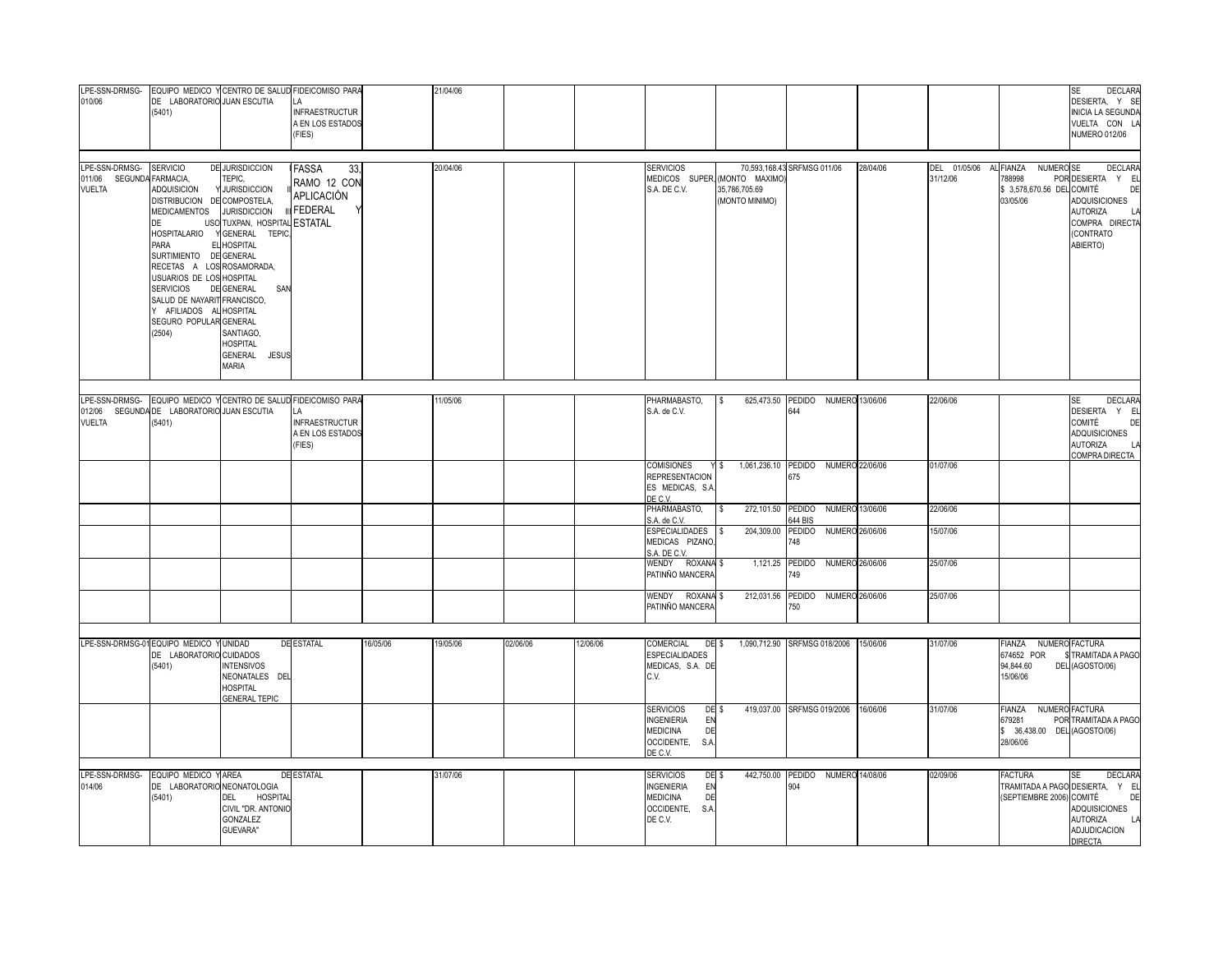| LPE-SSN-DRMSG-<br>010/06                                             | DE LABORATORIO JUAN ESCUTIA<br>(5401)                                                                                                                                                                                                                                                                     |                                                                                                                                                                                                                        | EQUIPO MEDICO Y CENTRO DE SALUD FIDEICOMISO PARA<br><b>INFRAESTRUCTUR</b><br>A EN LOS ESTADOS<br>(FIES)                      |          | 21/04/06 |          |          |                                                                                                                           |                                                                  |                                                                |          |                          |                                                                                       | DECLARA<br><b>SE</b><br>DESIERTA, Y SI<br><b>INICIA LA SEGUNDA</b><br>VUELTA CON L.<br><b>NUMERO 012/06</b>                                     |
|----------------------------------------------------------------------|-----------------------------------------------------------------------------------------------------------------------------------------------------------------------------------------------------------------------------------------------------------------------------------------------------------|------------------------------------------------------------------------------------------------------------------------------------------------------------------------------------------------------------------------|------------------------------------------------------------------------------------------------------------------------------|----------|----------|----------|----------|---------------------------------------------------------------------------------------------------------------------------|------------------------------------------------------------------|----------------------------------------------------------------|----------|--------------------------|---------------------------------------------------------------------------------------|-------------------------------------------------------------------------------------------------------------------------------------------------|
| LPE-SSN-DRMSG- SERVICIO<br>011/06 SEGUNDA FARMACIA,<br><b>VUELTA</b> | <b>ADQUISICION</b><br>DISTRIBUCION DE COMPOSTELA,<br><b>MEDICAMENTOS</b><br>DE<br>HOSPITALARIO<br>PARA<br>SURTIMIENTO DE GENERAL<br>RECETAS A LOS ROSAMORADA,<br><b>USUARIOS DE LOS</b><br><b>SERVICIOS</b><br>SALUD DE NAYARIT FRANCISCO,<br>Y AFILIADOS AL HOSPITAL<br>SEGURO POPULAR GENERAL<br>(2504) | <b>DE JURISDICCION</b><br>TEPIC,<br>Y JURISDICCION<br><b>JURISDICCION</b><br>USO TUXPAN, HOSPITAL<br>GENERAL TEPIC,<br>EL HOSPITAL<br>HOSPITAL<br>DE GENERAL<br>SAN<br>SANTIAGO.<br>HOSPITAL<br>GENERAL JESUS<br>MARIA | FASSA<br>33,<br>RAMO 12 CON<br>APLICACIÓN<br><b>FEDERAL</b><br><b>ESTATAL</b>                                                |          | 20/04/06 |          |          | <b>SERVICIOS</b><br>S.A. DE C.V.                                                                                          | MEDICOS SUPER, (MONTO MAXIMO)<br>35,786,705.69<br>(MONTO MINIMO) | 70,593,168.43 SRFMSG 011/06                                    | 28/04/06 | DEL 01/05/06<br>31/12/06 | AL FIANZA<br>NUMERO <sub>SE</sub><br>788998<br>\$ 3,578,670.56 DEL COMITÉ<br>03/05/06 | <b>DECLARA</b><br>POR DESIERTA Y EL<br>DE<br>ADQUISICIONES<br><b>AUTORIZA</b><br>COMPRA DIRECTA<br>(CONTRATO<br>ABIERTO)                        |
| <b>VUELTA</b>                                                        | 012/06 SEGUNDA DE LABORATORIO JUAN ESCUTIA<br>(5401)                                                                                                                                                                                                                                                      |                                                                                                                                                                                                                        | LPE-SSN-DRMSG- EQUIPO MEDICO Y CENTRO DE SALUD FIDEICOMISO PARA<br>LA<br><b>INFRAESTRUCTUR</b><br>A EN LOS ESTADOS<br>(FIES) |          | 11/05/06 |          |          | PHARMABASTO,<br>S.A. de C.V.                                                                                              | l s                                                              | 625,473.50 PEDIDO NUMERO 13/06/06<br>644                       |          | 22/06/06                 |                                                                                       | <b>DECLARA</b><br><b>SE</b><br>DESIERTA Y EL<br><b>COMITÉ</b><br>DF<br>ADQUISICIONES<br><b>AUTORIZA</b><br>LA<br><b>COMPRA DIRECTA</b>          |
|                                                                      |                                                                                                                                                                                                                                                                                                           |                                                                                                                                                                                                                        |                                                                                                                              |          |          |          |          | <b>COMISIONES</b><br><b>REPRESENTACION</b><br>ES MEDICAS, S.A.<br>DE C.V.                                                 | Y \$                                                             | 1,061,236.10 PEDIDO NUMERO 22/06/06<br>675                     |          | 01/07/06                 |                                                                                       |                                                                                                                                                 |
|                                                                      |                                                                                                                                                                                                                                                                                                           |                                                                                                                                                                                                                        |                                                                                                                              |          |          |          |          | PHARMABASTO,<br>S.A. de C.V.<br><b>ESPECIALIDADES</b>                                                                     | 272,101.50 PEDIDO<br>$\sqrt{3}$<br>204,309.00<br>$\sqrt{3}$      | NUMERO 13/06/06<br>644 BIS<br><b>PEDIDO</b><br>NUMERO 26/06/06 |          | 22/06/06<br>15/07/06     |                                                                                       |                                                                                                                                                 |
|                                                                      |                                                                                                                                                                                                                                                                                                           |                                                                                                                                                                                                                        |                                                                                                                              |          |          |          |          | MEDICAS PIZANO,<br>S.A. DE C.V.<br>WENDY ROXANA \$                                                                        |                                                                  | 748<br>1,121.25 PEDIDO<br>NUMERO 26/06/06                      |          | 25/07/06                 |                                                                                       |                                                                                                                                                 |
|                                                                      |                                                                                                                                                                                                                                                                                                           |                                                                                                                                                                                                                        |                                                                                                                              |          |          |          |          | PATINÑO MANCERA<br>WENDY ROXANA <sup>\$</sup>                                                                             |                                                                  | 749<br>212,031.56 PEDIDO NUMERO 26/06/06                       |          | 25/07/06                 |                                                                                       |                                                                                                                                                 |
|                                                                      |                                                                                                                                                                                                                                                                                                           |                                                                                                                                                                                                                        |                                                                                                                              |          |          |          |          | PATINÑO MANCERA                                                                                                           |                                                                  | 750                                                            |          |                          |                                                                                       |                                                                                                                                                 |
| LPE-SSN-DRMSG-01 EQUIPO MEDICO Y UNIDAD                              | DE LABORATORIO CUIDADOS<br>(5401)                                                                                                                                                                                                                                                                         | <b>INTENSIVOS</b><br>NEONATALES DEL<br><b>HOSPITAL</b><br><b>GENERAL TEPIC</b>                                                                                                                                         | <b>DE ESTATAL</b>                                                                                                            | 16/05/06 | 19/05/06 | 02/06/06 | 12/06/06 | COMERCIAL<br>DE <sub>\$</sub><br><b>ESPECIALIDADES</b><br>MEDICAS, S.A. DE<br>C.V.                                        |                                                                  | 1,090,712.90 SRFMSG 018/2006 15/06/06                          |          | 31/07/06                 | FIANZA NUMERO FACTURA<br>674652 POR<br>94,844.60<br>15/06/06                          | TRAMITADA A PAGO<br>DEL (AGOSTO/06)                                                                                                             |
|                                                                      |                                                                                                                                                                                                                                                                                                           |                                                                                                                                                                                                                        |                                                                                                                              |          |          |          |          | <b>SERVICIOS</b><br>DE <sub>\$</sub><br><b>INGENIERIA</b><br>EN<br><b>MEDICINA</b><br>DE<br>OCCIDENTE,<br>S.A.<br>DE C.V. |                                                                  | 419,037.00 SRFMSG 019/2006 16/06/06                            |          | 31/07/06                 | <b>FIANZA</b><br>679281<br>\$ 36,438.00 DEL (AGOSTO/06)<br>28/06/06                   | NUMERO FACTURA<br>POR TRAMITADA A PAGO                                                                                                          |
| LPE-SSN-DRMSG-<br>014/06                                             | EQUIPO MEDICO YAREA<br>DE LABORATORIO NEONATOLOGIA<br>(5401)                                                                                                                                                                                                                                              | DEL HOSPITAL<br>CIVIL "DR. ANTONIC<br>GONZALEZ<br>GUEVARA"                                                                                                                                                             | <b>DE ESTATAL</b>                                                                                                            |          | 31/07/06 |          |          | <b>SERVICIOS</b><br>DE <sub>\$</sub><br><b>NGENIERIA</b><br>EN<br>MEDICINA<br>DE<br>OCCIDENTE,<br>S.A.<br>DE C.V.         |                                                                  | 442,750.00 PEDIDO NUMERO 14/08/06<br>904                       |          | 02/09/06                 | <b>FACTURA</b><br>(SEPTIEMBRE 2006) COMITÉ                                            | <b>SE</b><br><b>DECLARA</b><br>TRAMITADA A PAGO DESIERTA, Y E<br>DE<br>ADQUISICIONES<br><b>AUTORIZA</b><br>LA<br>ADJUDICACION<br><b>DIRECTA</b> |